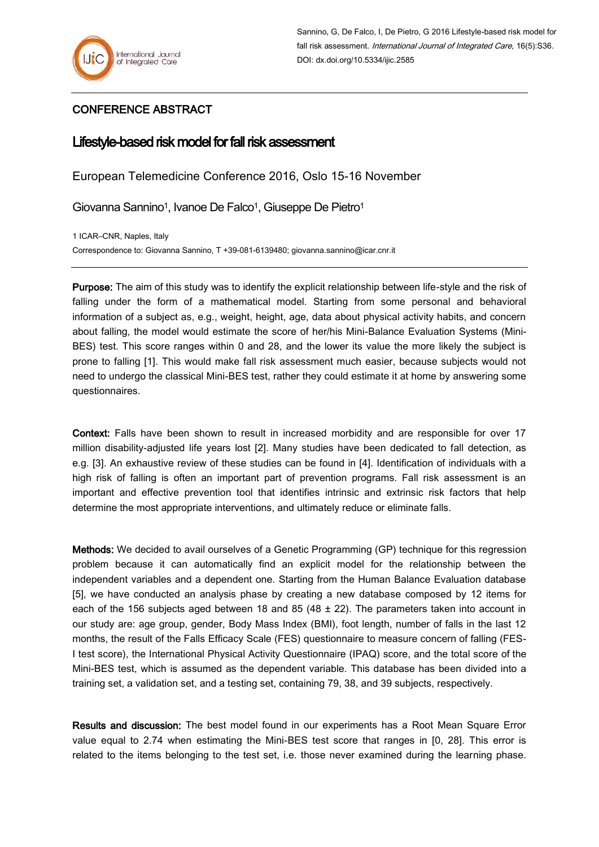## CONFERENCE ABSTRACT

## Lifestyle-based risk model for fall risk assessment

European Telemedicine Conference 2016, Oslo 15-16 November

Giovanna Sannino<sup>1</sup>, Ivanoe De Falco<sup>1</sup>, Giuseppe De Pietro<sup>1</sup>

1 ICAR–CNR, Naples, Italy Correspondence to: Giovanna Sannino, T +39-081-6139480; giovanna.sannino@icar.cnr.it

Purpose: The aim of this study was to identify the explicit relationship between life-style and the risk of falling under the form of a mathematical model. Starting from some personal and behavioral information of a subject as, e.g., weight, height, age, data about physical activity habits, and concern about falling, the model would estimate the score of her/his Mini-Balance Evaluation Systems (Mini-BES) test. This score ranges within 0 and 28, and the lower its value the more likely the subject is prone to falling [1]. This would make fall risk assessment much easier, because subjects would not need to undergo the classical Mini-BES test, rather they could estimate it at home by answering some questionnaires.

Context: Falls have been shown to result in increased morbidity and are responsible for over 17 million disability-adjusted life years lost [2]. Many studies have been dedicated to fall detection, as e.g. [3]. An exhaustive review of these studies can be found in [4]. Identification of individuals with a high risk of falling is often an important part of prevention programs. Fall risk assessment is an important and effective prevention tool that identifies intrinsic and extrinsic risk factors that help determine the most appropriate interventions, and ultimately reduce or eliminate falls.

Methods: We decided to avail ourselves of a Genetic Programming (GP) technique for this regression problem because it can automatically find an explicit model for the relationship between the independent variables and a dependent one. Starting from the Human Balance Evaluation database [5], we have conducted an analysis phase by creating a new database composed by 12 items for each of the 156 subjects aged between 18 and 85 (48  $\pm$  22). The parameters taken into account in our study are: age group, gender, Body Mass Index (BMI), foot length, number of falls in the last 12 months, the result of the Falls Efficacy Scale (FES) questionnaire to measure concern of falling (FES-I test score), the International Physical Activity Questionnaire (IPAQ) score, and the total score of the Mini-BES test, which is assumed as the dependent variable. This database has been divided into a training set, a validation set, and a testing set, containing 79, 38, and 39 subjects, respectively.

Results and discussion: The best model found in our experiments has a Root Mean Square Error value equal to 2.74 when estimating the Mini-BES test score that ranges in [0, 28]. This error is related to the items belonging to the test set, i.e. those never examined during the learning phase.